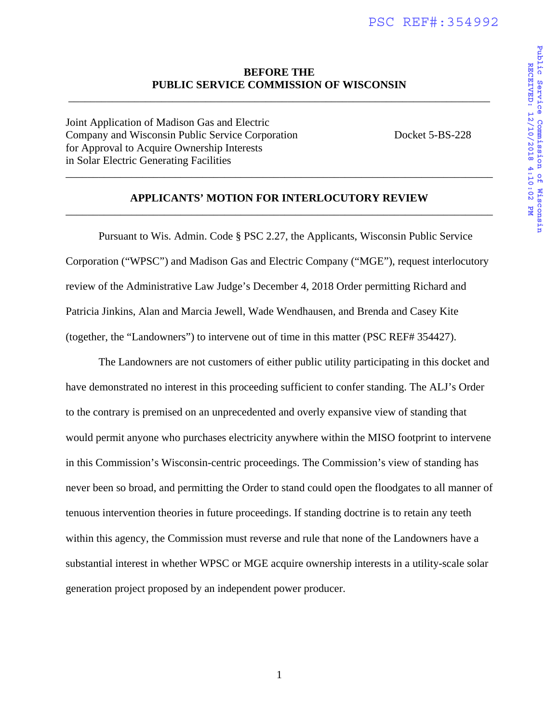# **BEFORE THE PUBLIC SERVICE COMMISSION OF WISCONSIN**

\_\_\_\_\_\_\_\_\_\_\_\_\_\_\_\_\_\_\_\_\_\_\_\_\_\_\_\_\_\_\_\_\_\_\_\_\_\_\_\_\_\_\_\_\_\_\_\_\_\_\_\_\_\_\_\_\_\_\_\_\_\_\_\_\_\_\_\_\_\_\_\_\_\_\_\_\_

Joint Application of Madison Gas and Electric Company and Wisconsin Public Service Corporation Docket 5-BS-228 for Approval to Acquire Ownership Interests in Solar Electric Generating Facilities \_\_\_\_\_\_\_\_\_\_\_\_\_\_\_\_\_\_\_\_\_\_\_\_\_\_\_\_\_\_\_\_\_\_\_\_\_\_\_\_\_\_\_\_\_\_\_\_\_\_\_\_\_\_\_\_\_\_\_\_\_\_\_\_\_\_\_\_\_\_\_\_\_\_\_\_\_\_

Public Service Commission of Wisconsin<br>RECEIVED: 12/10/2018 4:10:02 PM **Public Service Commission of Wisconsin** RECEIVED: 12/10/2018 4:10:02 **RECEIVED: 12/10/2018 4:10:02 PM**

# **APPLICANTS' MOTION FOR INTERLOCUTORY REVIEW**  \_\_\_\_\_\_\_\_\_\_\_\_\_\_\_\_\_\_\_\_\_\_\_\_\_\_\_\_\_\_\_\_\_\_\_\_\_\_\_\_\_\_\_\_\_\_\_\_\_\_\_\_\_\_\_\_\_\_\_\_\_\_\_\_\_\_\_\_\_\_\_\_\_\_\_\_\_\_

 Pursuant to Wis. Admin. Code § PSC 2.27, the Applicants, Wisconsin Public Service Corporation ("WPSC") and Madison Gas and Electric Company ("MGE"), request interlocutory review of the Administrative Law Judge's December 4, 2018 Order permitting Richard and Patricia Jinkins, Alan and Marcia Jewell, Wade Wendhausen, and Brenda and Casey Kite (together, the "Landowners") to intervene out of time in this matter (PSC REF# 354427).

 The Landowners are not customers of either public utility participating in this docket and have demonstrated no interest in this proceeding sufficient to confer standing. The ALJ's Order to the contrary is premised on an unprecedented and overly expansive view of standing that would permit anyone who purchases electricity anywhere within the MISO footprint to intervene in this Commission's Wisconsin-centric proceedings. The Commission's view of standing has never been so broad, and permitting the Order to stand could open the floodgates to all manner of tenuous intervention theories in future proceedings. If standing doctrine is to retain any teeth within this agency, the Commission must reverse and rule that none of the Landowners have a substantial interest in whether WPSC or MGE acquire ownership interests in a utility-scale solar generation project proposed by an independent power producer.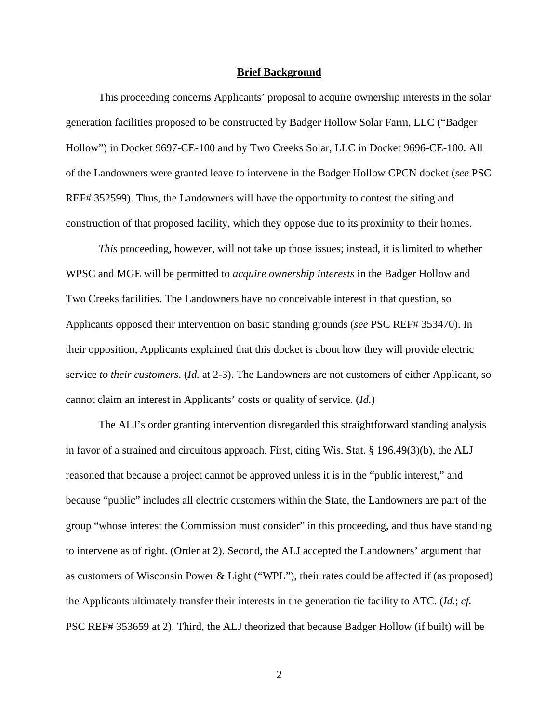#### **Brief Background**

 This proceeding concerns Applicants' proposal to acquire ownership interests in the solar generation facilities proposed to be constructed by Badger Hollow Solar Farm, LLC ("Badger Hollow") in Docket 9697-CE-100 and by Two Creeks Solar, LLC in Docket 9696-CE-100. All of the Landowners were granted leave to intervene in the Badger Hollow CPCN docket (*see* PSC REF# 352599). Thus, the Landowners will have the opportunity to contest the siting and construction of that proposed facility, which they oppose due to its proximity to their homes.

*This* proceeding, however, will not take up those issues; instead, it is limited to whether WPSC and MGE will be permitted to *acquire ownership interests* in the Badger Hollow and Two Creeks facilities. The Landowners have no conceivable interest in that question, so Applicants opposed their intervention on basic standing grounds (*see* PSC REF# 353470). In their opposition, Applicants explained that this docket is about how they will provide electric service *to their customers*. (*Id.* at 2-3). The Landowners are not customers of either Applicant, so cannot claim an interest in Applicants' costs or quality of service. (*Id.*)

 The ALJ's order granting intervention disregarded this straightforward standing analysis in favor of a strained and circuitous approach. First, citing Wis. Stat. § 196.49(3)(b), the ALJ reasoned that because a project cannot be approved unless it is in the "public interest," and because "public" includes all electric customers within the State, the Landowners are part of the group "whose interest the Commission must consider" in this proceeding, and thus have standing to intervene as of right. (Order at 2). Second, the ALJ accepted the Landowners' argument that as customers of Wisconsin Power & Light ("WPL"), their rates could be affected if (as proposed) the Applicants ultimately transfer their interests in the generation tie facility to ATC. (*Id*.; *cf.* PSC REF# 353659 at 2). Third, the ALJ theorized that because Badger Hollow (if built) will be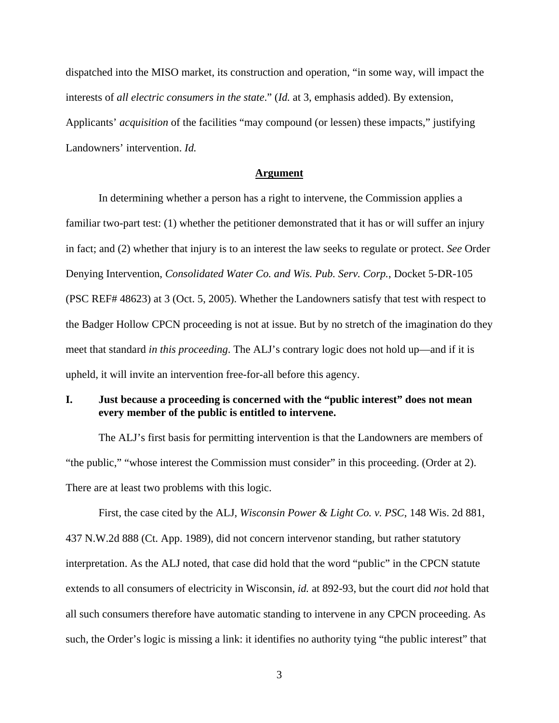dispatched into the MISO market, its construction and operation, "in some way, will impact the interests of *all electric consumers in the state*." (*Id.* at 3, emphasis added). By extension, Applicants' *acquisition* of the facilities "may compound (or lessen) these impacts," justifying Landowners' intervention. *Id.*

#### **Argument**

 In determining whether a person has a right to intervene, the Commission applies a familiar two-part test: (1) whether the petitioner demonstrated that it has or will suffer an injury in fact; and (2) whether that injury is to an interest the law seeks to regulate or protect. *See* Order Denying Intervention, *Consolidated Water Co. and Wis. Pub. Serv. Corp.*, Docket 5-DR-105 (PSC REF# 48623) at 3 (Oct. 5, 2005). Whether the Landowners satisfy that test with respect to the Badger Hollow CPCN proceeding is not at issue. But by no stretch of the imagination do they meet that standard *in this proceeding*. The ALJ's contrary logic does not hold up—and if it is upheld, it will invite an intervention free-for-all before this agency.

# **I. Just because a proceeding is concerned with the "public interest" does not mean every member of the public is entitled to intervene.**

 The ALJ's first basis for permitting intervention is that the Landowners are members of "the public," "whose interest the Commission must consider" in this proceeding. (Order at 2). There are at least two problems with this logic.

 First, the case cited by the ALJ, *Wisconsin Power & Light Co. v. PSC*, 148 Wis. 2d 881, 437 N.W.2d 888 (Ct. App. 1989), did not concern intervenor standing, but rather statutory interpretation. As the ALJ noted, that case did hold that the word "public" in the CPCN statute extends to all consumers of electricity in Wisconsin, *id.* at 892-93, but the court did *not* hold that all such consumers therefore have automatic standing to intervene in any CPCN proceeding. As such, the Order's logic is missing a link: it identifies no authority tying "the public interest" that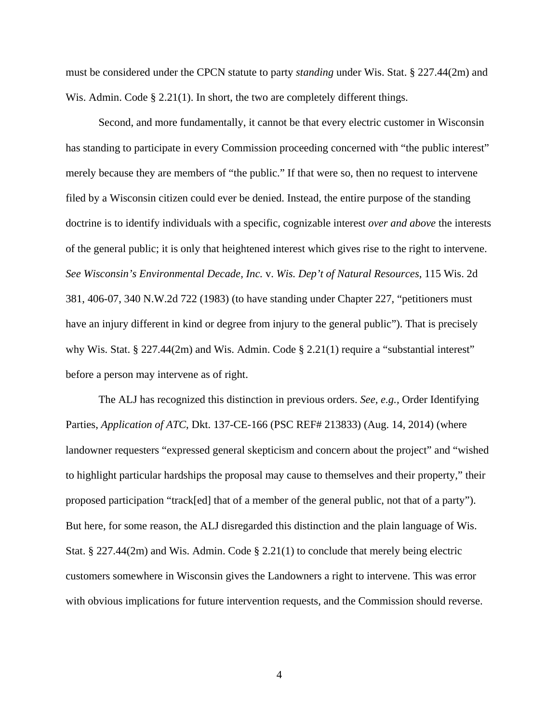must be considered under the CPCN statute to party *standing* under Wis. Stat. § 227.44(2m) and Wis. Admin. Code  $\S 2.21(1)$ . In short, the two are completely different things.

 Second, and more fundamentally, it cannot be that every electric customer in Wisconsin has standing to participate in every Commission proceeding concerned with "the public interest" merely because they are members of "the public." If that were so, then no request to intervene filed by a Wisconsin citizen could ever be denied. Instead, the entire purpose of the standing doctrine is to identify individuals with a specific, cognizable interest *over and above* the interests of the general public; it is only that heightened interest which gives rise to the right to intervene. *See Wisconsin's Environmental Decade, Inc.* v. *Wis. Dep't of Natural Resources*, 115 Wis. 2d 381, 406-07, 340 N.W.2d 722 (1983) (to have standing under Chapter 227, "petitioners must have an injury different in kind or degree from injury to the general public"). That is precisely why Wis. Stat. § 227.44(2m) and Wis. Admin. Code § 2.21(1) require a "substantial interest" before a person may intervene as of right.

 The ALJ has recognized this distinction in previous orders. *See, e.g.,* Order Identifying Parties, *Application of ATC*, Dkt. 137-CE-166 (PSC REF# 213833) (Aug. 14, 2014) (where landowner requesters "expressed general skepticism and concern about the project" and "wished to highlight particular hardships the proposal may cause to themselves and their property," their proposed participation "track[ed] that of a member of the general public, not that of a party"). But here, for some reason, the ALJ disregarded this distinction and the plain language of Wis. Stat. § 227.44(2m) and Wis. Admin. Code § 2.21(1) to conclude that merely being electric customers somewhere in Wisconsin gives the Landowners a right to intervene. This was error with obvious implications for future intervention requests, and the Commission should reverse.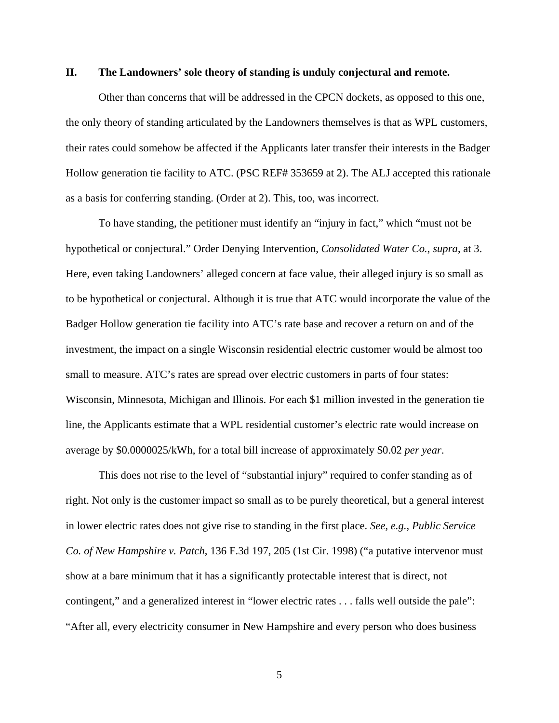### **II. The Landowners' sole theory of standing is unduly conjectural and remote.**

 Other than concerns that will be addressed in the CPCN dockets, as opposed to this one, the only theory of standing articulated by the Landowners themselves is that as WPL customers, their rates could somehow be affected if the Applicants later transfer their interests in the Badger Hollow generation tie facility to ATC. (PSC REF# 353659 at 2). The ALJ accepted this rationale as a basis for conferring standing. (Order at 2). This, too, was incorrect.

 To have standing, the petitioner must identify an "injury in fact," which "must not be hypothetical or conjectural." Order Denying Intervention, *Consolidated Water Co.*, *supra*, at 3. Here, even taking Landowners' alleged concern at face value, their alleged injury is so small as to be hypothetical or conjectural. Although it is true that ATC would incorporate the value of the Badger Hollow generation tie facility into ATC's rate base and recover a return on and of the investment, the impact on a single Wisconsin residential electric customer would be almost too small to measure. ATC's rates are spread over electric customers in parts of four states: Wisconsin, Minnesota, Michigan and Illinois. For each \$1 million invested in the generation tie line, the Applicants estimate that a WPL residential customer's electric rate would increase on average by \$0.0000025/kWh, for a total bill increase of approximately \$0.02 *per year*.

 This does not rise to the level of "substantial injury" required to confer standing as of right. Not only is the customer impact so small as to be purely theoretical, but a general interest in lower electric rates does not give rise to standing in the first place. *See, e.g., Public Service Co. of New Hampshire v. Patch*, 136 F.3d 197, 205 (1st Cir. 1998) ("a putative intervenor must show at a bare minimum that it has a significantly protectable interest that is direct, not contingent," and a generalized interest in "lower electric rates . . . falls well outside the pale": "After all, every electricity consumer in New Hampshire and every person who does business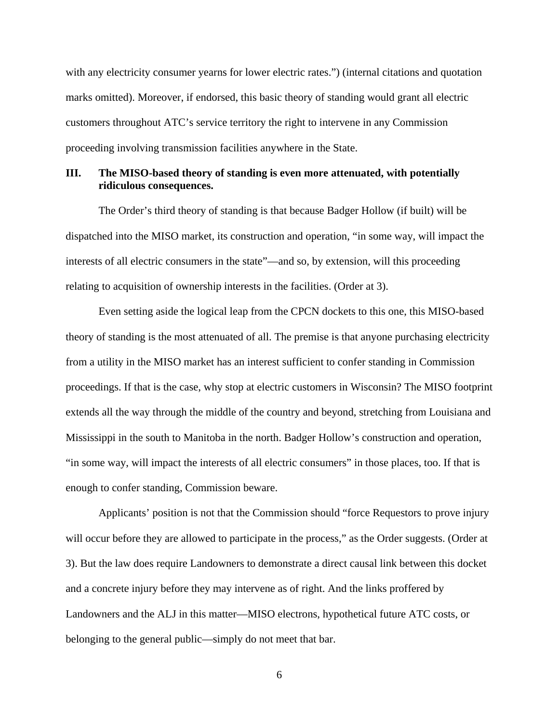with any electricity consumer yearns for lower electric rates.") (internal citations and quotation marks omitted). Moreover, if endorsed, this basic theory of standing would grant all electric customers throughout ATC's service territory the right to intervene in any Commission proceeding involving transmission facilities anywhere in the State.

# **III. The MISO-based theory of standing is even more attenuated, with potentially ridiculous consequences.**

 The Order's third theory of standing is that because Badger Hollow (if built) will be dispatched into the MISO market, its construction and operation, "in some way, will impact the interests of all electric consumers in the state"—and so, by extension, will this proceeding relating to acquisition of ownership interests in the facilities. (Order at 3).

 Even setting aside the logical leap from the CPCN dockets to this one, this MISO-based theory of standing is the most attenuated of all. The premise is that anyone purchasing electricity from a utility in the MISO market has an interest sufficient to confer standing in Commission proceedings. If that is the case, why stop at electric customers in Wisconsin? The MISO footprint extends all the way through the middle of the country and beyond, stretching from Louisiana and Mississippi in the south to Manitoba in the north. Badger Hollow's construction and operation, "in some way, will impact the interests of all electric consumers" in those places, too. If that is enough to confer standing, Commission beware.

 Applicants' position is not that the Commission should "force Requestors to prove injury will occur before they are allowed to participate in the process," as the Order suggests. (Order at 3). But the law does require Landowners to demonstrate a direct causal link between this docket and a concrete injury before they may intervene as of right. And the links proffered by Landowners and the ALJ in this matter—MISO electrons, hypothetical future ATC costs, or belonging to the general public—simply do not meet that bar.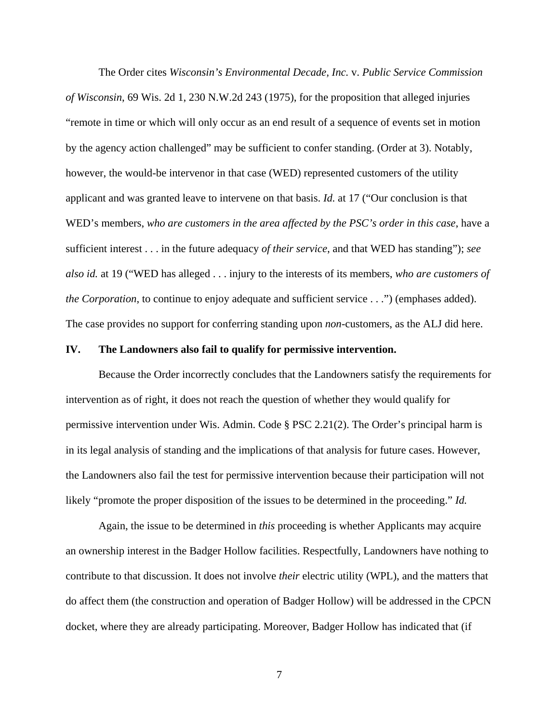The Order cites *Wisconsin's Environmental Decade, Inc.* v. *Public Service Commission of Wisconsin*, 69 Wis. 2d 1, 230 N.W.2d 243 (1975), for the proposition that alleged injuries "remote in time or which will only occur as an end result of a sequence of events set in motion by the agency action challenged" may be sufficient to confer standing. (Order at 3). Notably, however, the would-be intervenor in that case (WED) represented customers of the utility applicant and was granted leave to intervene on that basis. *Id.* at 17 ("Our conclusion is that WED's members, *who are customers in the area affected by the PSC's order in this case*, have a sufficient interest . . . in the future adequacy *of their service*, and that WED has standing"); *see also id.* at 19 ("WED has alleged . . . injury to the interests of its members, *who are customers of the Corporation*, to continue to enjoy adequate and sufficient service . . .") (emphases added). The case provides no support for conferring standing upon *non*-customers, as the ALJ did here.

#### **IV. The Landowners also fail to qualify for permissive intervention.**

 Because the Order incorrectly concludes that the Landowners satisfy the requirements for intervention as of right, it does not reach the question of whether they would qualify for permissive intervention under Wis. Admin. Code § PSC 2.21(2). The Order's principal harm is in its legal analysis of standing and the implications of that analysis for future cases. However, the Landowners also fail the test for permissive intervention because their participation will not likely "promote the proper disposition of the issues to be determined in the proceeding." *Id.*

 Again, the issue to be determined in *this* proceeding is whether Applicants may acquire an ownership interest in the Badger Hollow facilities. Respectfully, Landowners have nothing to contribute to that discussion. It does not involve *their* electric utility (WPL), and the matters that do affect them (the construction and operation of Badger Hollow) will be addressed in the CPCN docket, where they are already participating. Moreover, Badger Hollow has indicated that (if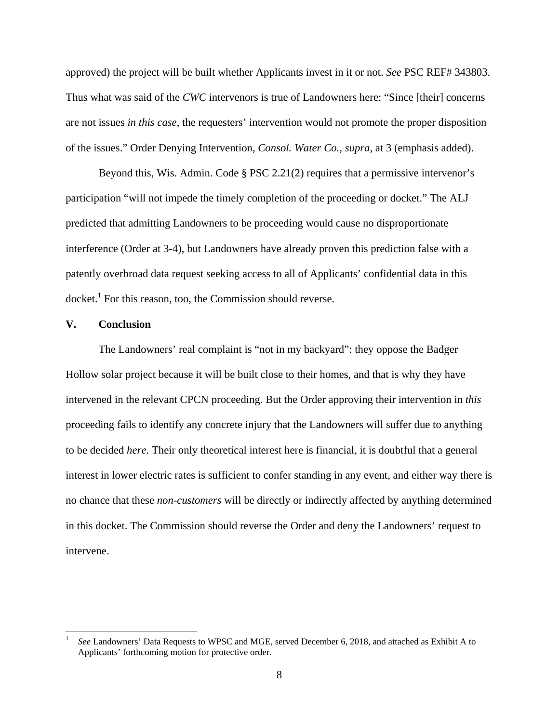approved) the project will be built whether Applicants invest in it or not. *See* PSC REF# 343803. Thus what was said of the *CWC* intervenors is true of Landowners here: "Since [their] concerns are not issues *in this case*, the requesters' intervention would not promote the proper disposition of the issues." Order Denying Intervention, *Consol. Water Co.*, *supra*, at 3 (emphasis added).

 Beyond this, Wis. Admin. Code § PSC 2.21(2) requires that a permissive intervenor's participation "will not impede the timely completion of the proceeding or docket." The ALJ predicted that admitting Landowners to be proceeding would cause no disproportionate interference (Order at 3-4), but Landowners have already proven this prediction false with a patently overbroad data request seeking access to all of Applicants' confidential data in this docket.<sup>1</sup> For this reason, too, the Commission should reverse.

### **V. Conclusion**

 $\overline{a}$ 

 The Landowners' real complaint is "not in my backyard": they oppose the Badger Hollow solar project because it will be built close to their homes, and that is why they have intervened in the relevant CPCN proceeding. But the Order approving their intervention in *this* proceeding fails to identify any concrete injury that the Landowners will suffer due to anything to be decided *here*. Their only theoretical interest here is financial, it is doubtful that a general interest in lower electric rates is sufficient to confer standing in any event, and either way there is no chance that these *non-customers* will be directly or indirectly affected by anything determined in this docket. The Commission should reverse the Order and deny the Landowners' request to intervene.

<sup>1</sup> *See* Landowners' Data Requests to WPSC and MGE, served December 6, 2018, and attached as Exhibit A to Applicants' forthcoming motion for protective order.